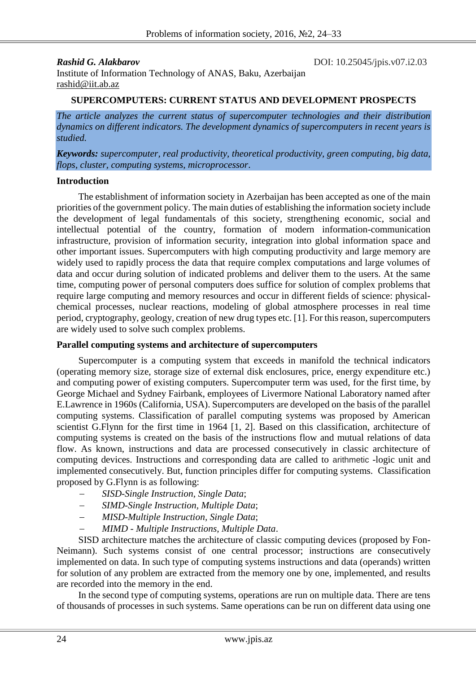**Rashid G. Alakbarov** DOI: 10.25045/jpis.v07.i2.03

Institute of Information Technology of ANAS, Baku, Azerbaijan [rashid@iit.ab.az](mailto:rashid@iit.ab.az)

### **SUPERCOMPUTERS: CURRENT STATUS AND DEVELOPMENT PROSPECTS**

*The article analyzes the current status of supercomputer technologies and their distribution dynamics on different indicators. The development dynamics of supercomputers in recent years is studied.*

*Keywords: supercomputer, real productivity, theoretical productivity, green computing, big data, flops, cluster, computing systems, microprocessor*.

#### **Introduction**

The establishment of information society in Azerbaijan has been accepted as one of the main priorities of the government policy. The main duties of establishing the information society include the development of legal fundamentals of this society, strengthening economic, social and intellectual potential of the country, formation of modern information-communication infrastructure, provision of information security, integration into global information space and other important issues. Supercomputers with high computing productivity and large memory are widely used to rapidly process the data that require complex computations and large volumes of data and occur during solution of indicated problems and deliver them to the users. At the same time, computing power of personal computers does suffice for solution of complex problems that require large computing and memory resources and occur in different fields of science: physicalchemical processes, nuclear reactions, modeling of global atmosphere processes in real time period, cryptography, geology, creation of new drug types etc. [1]. For this reason, supercomputers are widely used to solve such complex problems.

#### **Parallel computing systems and architecture of supercomputers**

Supercomputer is a computing system that exceeds in manifold the technical indicators (operating memory size, storage size of external disk enclosures, price, energy expenditure etc.) and computing power of existing computers. Supercomputer term was used, for the first time, by George Michael and Sydney Fairbank, employees of Livermore National Laboratory named after E.Lawrence in 1960s (California, USA). Supercomputers are developed on the basis of the parallel computing systems. Classification of parallel computing systems was proposed by American scientist G.Flynn for the first time in 1964 [1, 2]. Based on this classification, architecture of computing systems is created on the basis of the instructions flow and mutual relations of data flow. As known, instructions and data are processed consecutively in classic architecture of computing devices. Instructions and corresponding data are called to arithmetic -logic unit and implemented consecutively. But, function principles differ for computing systems. Classification proposed by G.Flynn is as following:

- *SISD-Single Instruction, Single Data*;
- *SIMD-Single Instruction, Multiple Data*;
- *MISD-Multiple Instruction, Single Data*;
- *MIMD - Multiple Instructions, Multiple Data*.

SISD architecture matches the architecture of classic computing devices (proposed by Fon-Neimann). Such systems consist of one central processor; instructions are consecutively implemented on data. In such type of computing systems instructions and data (operands) written for solution of any problem are extracted from the memory one by one, implemented, and results are recorded into the memory in the end.

In the second type of computing systems, operations are run on multiple data. There are tens of thousands of processes in such systems. Same operations can be run on different data using one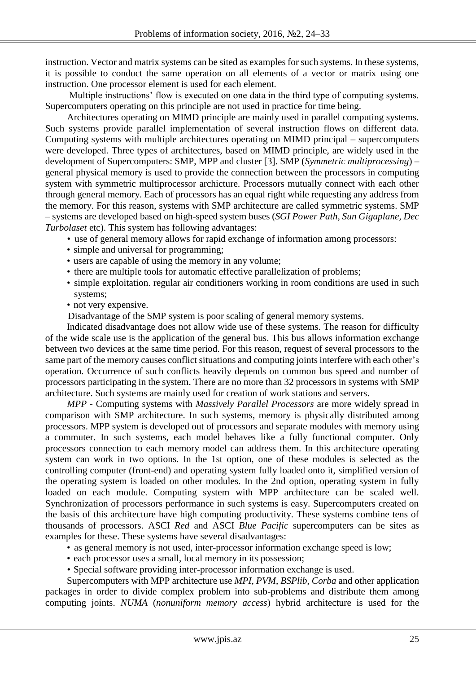instruction. Vector and matrix systems can be sited as examples for such systems. In these systems, it is possible to conduct the same operation on all elements of a vector or matrix using one instruction. One processor element is used for each element.

Multiple instructions' flow is executed on one data in the third type of computing systems. Supercomputers operating on this principle are not used in practice for time being.

Architectures operating on MIMD principle are mainly used in parallel computing systems. Such systems provide parallel implementation of several instruction flows on different data. Computing systems with multiple architectures operating on MIMD principal – supercomputers were developed. Three types of architectures, based on MIMD principle, are widely used in the development of Supercomputers: SMP, MPP and cluster [3]. SMP (*Symmetric multiprocessing*) – general physical memory is used to provide the connection between the processors in computing system with symmetric multiprocessor archicture. Processors mutually connect with each other through general memory. Each of processors has an equal right while requesting any address from the memory. For this reason, systems with SMP architecture are called symmetric systems. SMP – systems are developed based on high-speed system buses (*SGI Power Path, Sun Gigaplane, Dec Turbolaset* etc). This system has following advantages:

- use of general memory allows for rapid exchange of information among processors:
- simple and universal for programming;
- users are capable of using the memory in any volume;
- there are multiple tools for automatic effective parallelization of problems;
- simple exploitation. regular air conditioners working in room conditions are used in such systems;
- not very expensive.

Disadvantage of the SMP system is poor scaling of general memory systems.

Indicated disadvantage does not allow wide use of these systems. The reason for difficulty of the wide scale use is the application of the general bus. This bus allows information exchange between two devices at the same time period. For this reason, request of several processors to the same part of the memory causes conflict situations and computing joints interfere with each other's operation. Occurrence of such conflicts heavily depends on common bus speed and number of processors participating in the system. There are no more than 32 processors in systems with SMP architecture. Such systems are mainly used for creation of work stations and servers.

*MPP -* Computing systems with *Massively Parallel Processors* are more widely spread in comparison with SMP architecture. In such systems, memory is physically distributed among processors. MPP system is developed out of processors and separate modules with memory using a commuter. In such systems, each model behaves like a fully functional computer. Only processors connection to each memory model can address them. In this architecture operating system can work in two options. In the 1st option, one of these modules is selected as the controlling computer (front-end) and operating system fully loaded onto it, simplified version of the operating system is loaded on other modules. In the 2nd option, operating system in fully loaded on each module. Computing system with MPP architecture can be scaled well. Synchronization of processors performance in such systems is easy. Supercomputers created on the basis of this architecture have high computing productivity. These systems combine tens of thousands of processors. ASCI *Red* and ASCI *Blue Pacific* supercomputers can be sites as examples for these. These systems have several disadvantages:

- as general memory is not used, inter-processor information exchange speed is low;
- each processor uses a small, local memory in its possession;
- Special software providing inter-processor information exchange is used.

Supercomputers with MPP architecture use *MPI*, *PVM*, *BSPlib*, *Corba* and other application packages in order to divide complex problem into sub-problems and distribute them among computing joints. *NUMA* (*nonuniform memory access*) hybrid architecture is used for the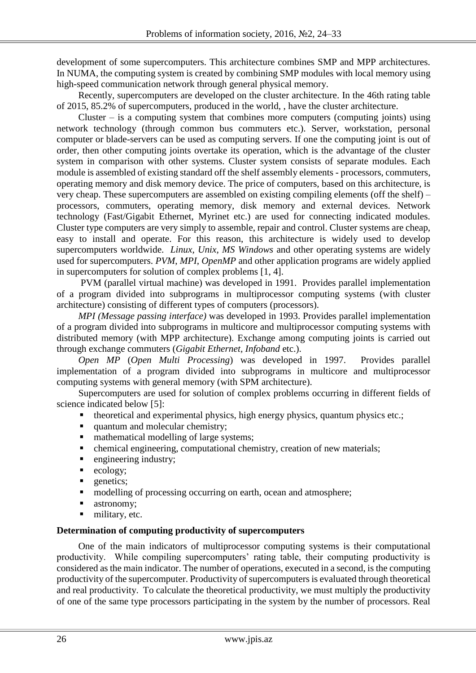development of some supercomputers. This architecture combines SMP and MPP architectures. In NUMA, the computing system is created by combining SMP modules with local memory using high-speed communication network through general physical memory.

Recently, supercomputers are developed on the cluster architecture. In the 46th rating table of 2015, 85.2% of supercomputers, produced in the world, , have the cluster architecture.

Cluster – is a computing system that combines more computers (computing joints) using network technology (through common bus commuters etc.). Server, workstation, personal computer or blade-servers can be used as computing servers. If one the computing joint is out of order, then other computing joints overtake its operation, which is the advantage of the cluster system in comparison with other systems. Cluster system consists of separate modules. Each module is assembled of existing standard off the shelf assembly elements - processors, commuters, operating memory and disk memory device. The price of computers, based on this architecture, is very cheap. These supercomputers are assembled on existing compiling elements (off the shelf) – processors, commuters, operating memory, disk memory and external devices. Network technology (Fast/Gigabit Ethernet, Myrinet etc.) are used for connecting indicated modules. Cluster type computers are very simply to assemble, repair and control. Cluster systems are cheap, easy to install and operate. For this reason, this architecture is widely used to develop supercomputers worldwide. *Linux, Unix, MS Windows* and other operating systems are widely used for supercomputers. *PVM*, *MPI*, *OpenMP* and other application programs are widely applied in supercomputers for solution of complex problems [1, 4].

PVM (parallel virtual machine) was developed in 1991. Provides parallel implementation of a program divided into subprograms in multiprocessor computing systems (with cluster architecture) consisting of different types of computers (processors).

*MPI (Message passing interface)* was developed in 1993. Provides parallel implementation of a program divided into subprograms in multicore and multiprocessor computing systems with distributed memory (with MPP architecture). Exchange among computing joints is carried out through exchange commuters (*Gigabit Ethernet, Infoband* etc.).

*Open MP* (*Open Multi Processing*) was developed in 1997. Provides parallel implementation of a program divided into subprograms in multicore and multiprocessor computing systems with general memory (with SPM architecture).

Supercomputers are used for solution of complex problems occurring in different fields of science indicated below [5]:

- theoretical and experimental physics, high energy physics, quantum physics etc.;
- quantum and molecular chemistry;
- mathematical modelling of large systems;
- chemical engineering, computational chemistry, creation of new materials;
- **e** engineering industry;
- ecology;
- **quelection**
- modelling of processing occurring on earth, ocean and atmosphere;
- astronomy;
- military, etc.

# **Determination of computing productivity of supercomputers**

One of the main indicators of multiprocessor computing systems is their computational productivity. While compiling supercomputers' rating table, their computing productivity is considered as the main indicator. The number of operations, executed in a second, is the computing productivity of the supercomputer. Productivity of supercomputers is evaluated through theoretical and real productivity. To calculate the theoretical productivity, we must multiply the productivity of one of the same type processors participating in the system by the number of processors. Real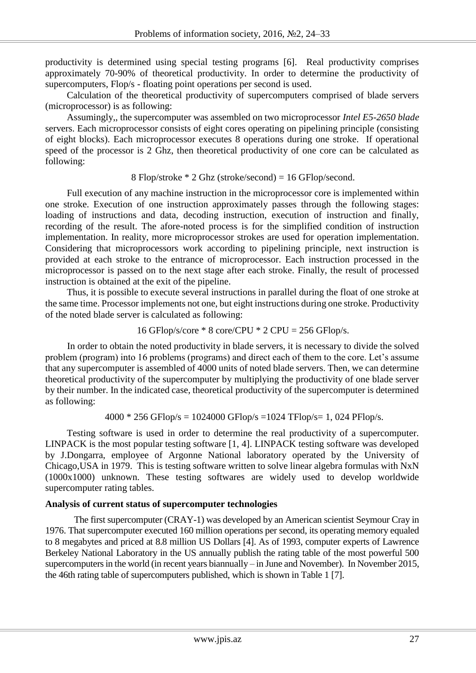productivity is determined using special testing programs [6]. Real productivity comprises approximately 70-90% of theoretical productivity. In order to determine the productivity of supercomputers, Flop/s - floating point operations per second is used.

Calculation of the theoretical productivity of supercomputers comprised of blade servers (microprocessor) is as following:

Assumingly,, the supercomputer was assembled on two microprocessor *Intel E5-2650 blade* servers. Each microprocessor consists of eight cores operating on pipelining principle (consisting of eight blocks). Each microprocessor executes 8 operations during one stroke. If operational speed of the processor is 2 Ghz, then theoretical productivity of one core can be calculated as following:

8 Flop/stroke \* 2 Ghz (stroke/second) = 16 GFlop/second.

Full execution of any machine instruction in the microprocessor core is implemented within one stroke. Execution of one instruction approximately passes through the following stages: loading of instructions and data, decoding instruction, execution of instruction and finally, recording of the result. The afore-noted process is for the simplified condition of instruction implementation. In reality, more microprocessor strokes are used for operation implementation. Considering that microprocessors work according to pipelining principle, next instruction is provided at each stroke to the entrance of microprocessor. Each instruction processed in the microprocessor is passed on to the next stage after each stroke. Finally, the result of processed instruction is obtained at the exit of the pipeline.

Thus, it is possible to execute several instructions in parallel during the float of one stroke at the same time. Processor implements not one, but eight instructions during one stroke. Productivity of the noted blade server is calculated as following:

16 GFlop/s/core 
$$
\times
$$
 8 core/CPU  $\times$  2 CPU = 256 GFlop/s.

In order to obtain the noted productivity in blade servers, it is necessary to divide the solved problem (program) into 16 problems (programs) and direct each of them to the core. Let's assume that any supercomputer is assembled of 4000 units of noted blade servers. Then, we can determine theoretical productivity of the supercomputer by multiplying the productivity of one blade server by their number. In the indicated case, theoretical productivity of the supercomputer is determined as following:

 $4000 * 256$  GFlop/s = 1024000 GFlop/s = 1024 TFlop/s= 1, 024 PFlop/s.

Testing software is used in order to determine the real productivity of a supercomputer. LINPACK is the most popular testing software [1, 4]. LINPACK testing software was developed by J.Dongarra, employee of Argonne National laboratory operated by the University of Chicago,USA in 1979. This is testing software written to solve linear algebra formulas with NxN (1000x1000) unknown. These testing softwares are widely used to develop worldwide supercomputer rating tables.

# **Analysis of current status of supercomputer technologies**

The first supercomputer (CRAY-1) was developed by an American scientist Seymour Cray in 1976. That supercomputer executed 160 million operations per second, its operating memory equaled to 8 megabytes and priced at 8.8 million US Dollars [4]. As of 1993, computer experts of Lawrence Berkeley National Laboratory in the US annually publish the rating table of the most powerful 500 supercomputers in the world (in recent years biannually – in June and November). In November 2015, the 46th rating table of supercomputers published, which is shown in Table 1 [7].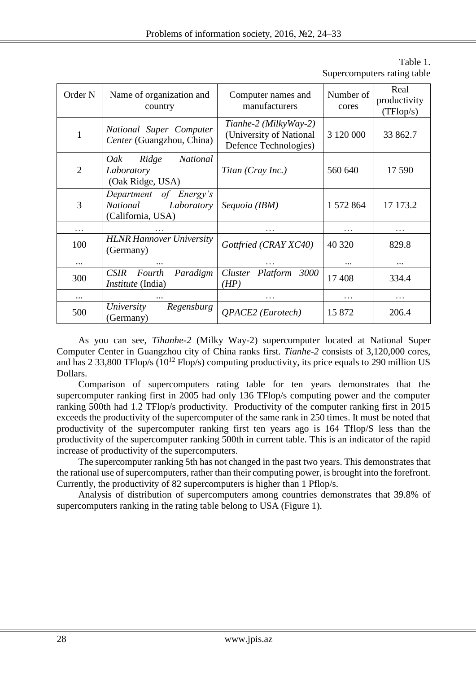| Order <sub>N</sub> | Name of organization and<br>country                                   | Computer names and<br>manufacturers                                       | Number of<br>cores | Real<br>productivity<br>(TFlop/s) |
|--------------------|-----------------------------------------------------------------------|---------------------------------------------------------------------------|--------------------|-----------------------------------|
| $\mathbf{1}$       | National Super Computer<br>Center (Guangzhou, China)                  | Tianhe-2 (MilkyWay-2)<br>(University of National<br>Defence Technologies) | 3 120 000          | 33 862.7                          |
| $\overline{2}$     | Ridge<br><b>National</b><br>Oak<br>Laboratory<br>(Oak Ridge, USA)     | Titan (Cray Inc.)                                                         | 560 640            | 17 590                            |
| 3                  | Department of Energy's<br>Laboratory<br>National<br>(California, USA) | Sequoia (IBM)                                                             | 1 572 864          | 17 173.2                          |
| $\cdots$           |                                                                       | .                                                                         | $\ddotsc$          | $\cdots$                          |
| 100                | <b>HLNR Hannover University</b><br>(Germany)                          | Gottfried (CRAY XC40)                                                     | 40 320             | 829.8                             |
| $\cdots$           |                                                                       |                                                                           |                    |                                   |
| 300                | Paradigm<br><b>CSIR</b><br>Fourth<br><i>Institute</i> (India)         | Cluster Platform<br>3000<br>(HP)                                          | 17408              | 334.4                             |
|                    |                                                                       |                                                                           | .                  | .                                 |
| 500                | University<br>Regensburg<br>(Germany)                                 | <b>OPACE2</b> (Eurotech)                                                  | 15 872             | 206.4                             |

Table 1. Supercomputers rating table

As you can see, *Tihanhe-2* (Milky Way-2) supercomputer located at National Super Computer Center in Guangzhou city of China ranks first. *Tianhe-2* consists of 3,120,000 cores, and has 2 33,800 TFlop/s  $(10^{12}$  Flop/s) computing productivity, its price equals to 290 million US Dollars.

Comparison of supercomputers rating table for ten years demonstrates that the supercomputer ranking first in 2005 had only 136 TFlop/s computing power and the computer ranking 500th had 1.2 TFlop/s productivity. Productivity of the computer ranking first in 2015 exceeds the productivity of the supercomputer of the same rank in 250 times. It must be noted that productivity of the supercomputer ranking first ten years ago is 164 Tflop/S less than the productivity of the supercomputer ranking 500th in current table. This is an indicator of the rapid increase of productivity of the supercomputers.

The supercomputer ranking 5th has not changed in the past two years. This demonstrates that the rational use of supercomputers, rather than their computing power, is brought into the forefront. Currently, the productivity of 82 supercomputers is higher than 1 Pflop/s.

Analysis of distribution of supercomputers among countries demonstrates that 39.8% of supercomputers ranking in the rating table belong to USA (Figure 1).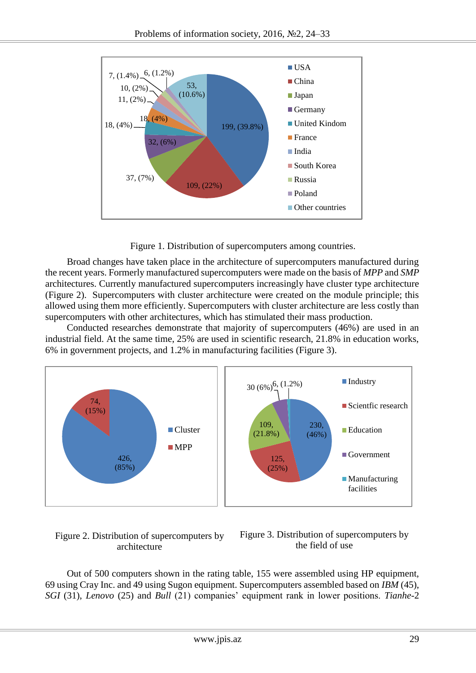

Figure 1. Distribution of supercomputers among countries.

Broad changes have taken place in the architecture of supercomputers manufactured during the recent years. Formerly manufactured supercomputers were made on the basis of *MPP* and *SMP* architectures. Currently manufactured supercomputers increasingly have cluster type architecture (Figure 2). Supercomputers with cluster architecture were created on the module principle; this allowed using them more efficiently. Supercomputers with cluster architecture are less costly than supercomputers with other architectures, which has stimulated their mass production.

Conducted researches demonstrate that majority of supercomputers (46%) are used in an industrial field. At the same time, 25% are used in scientific research, 21.8% in education works, 6% in government projects, and 1.2% in manufacturing facilities (Figure 3).



# Figure 2. Distribution of supercomputers by architecture



Out of 500 computers shown in the rating table, 155 were assembled using HP equipment, 69 using Cray Inc. and 49 using Sugon equipment. Supercomputers assembled based on *IBM* (45), *SGI* (31), *Lenovo* (25) and *Bull* (21) companies' equipment rank in lower positions. *Tianhe*-2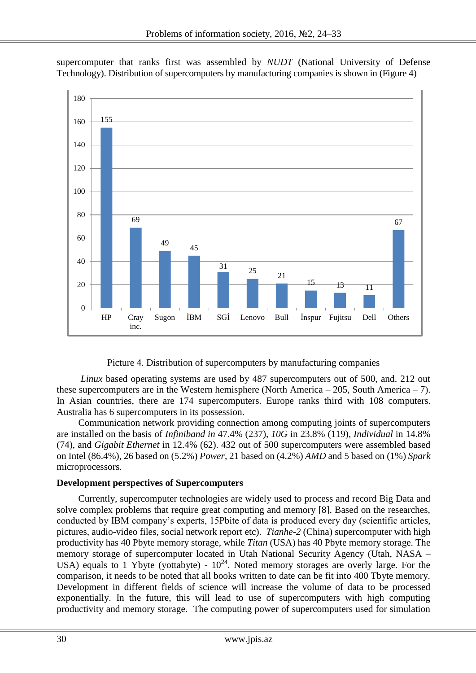155 69  $\begin{array}{c|c}\n\hline\n49 & 45\n\end{array}$  $\frac{31}{25}$  25 21  $\frac{15}{11}$  13 11 67 0 20 40 60 80 100 120 140 160 180 HP Cray inc. Sugon İBM SGİ Lenovo Bull İnspur Fujitsu Dell Others

supercomputer that ranks first was assembled by *NUDT* (National University of Defense Technology). Distribution of supercomputers by manufacturing companies is shown in (Figure 4)

Picture 4. Distribution of supercomputers by manufacturing companies

*Linux* based operating systems are used by 487 supercomputers out of 500, and. 212 out these supercomputers are in the Western hemisphere (North America – 205, South America – 7). In Asian countries, there are 174 supercomputers. Europe ranks third with 108 computers. Australia has 6 supercomputers in its possession.

Communication network providing connection among computing joints of supercomputers are installed on the basis of *Infiniband in* 47.4% (237), *10G* in 23.8% (119), *Individual* in 14.8% (74), and *Gigabit Ethernet* in 12.4% (62). 432 out of 500 supercomputers were assembled based on Intel (86.4%), 26 based on (5.2%) *Power*, 21 based on (4.2%) *AMD* and 5 based on (1%) *Spark*  microprocessors.

## **Development perspectives of Supercomputers**

Currently, supercomputer technologies are widely used to process and record Big Data and solve complex problems that require great computing and memory [8]. Based on the researches, conducted by IBM company's experts, 15Pbite of data is produced every day (scientific articles, pictures, audio-video files, social network report etc). *Tianhe-2* (China) supercomputer with high productivity has 40 Pbyte memory storage, while *Titan* (USA) has 40 Pbyte memory storage. The memory storage of supercomputer located in Utah National Security Agency (Utah, NASA – USA) equals to 1 Ybyte (yottabyte) -  $10^{24}$ . Noted memory storages are overly large. For the comparison, it needs to be noted that all books written to date can be fit into 400 Tbyte memory. Development in different fields of science will increase the volume of data to be processed exponentially. In the future, this will lead to use of supercomputers with high computing productivity and memory storage. The computing power of supercomputers used for simulation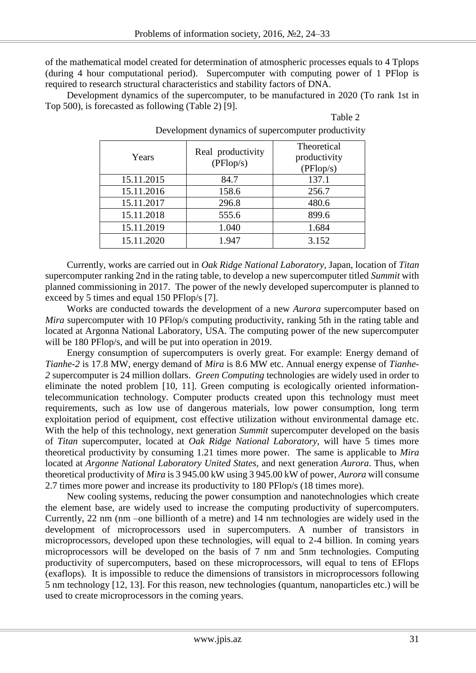of the mathematical model created for determination of atmospheric processes equals to 4 Tplops (during 4 hour computational period). Supercomputer with computing power of 1 PFlop is required to research structural characteristics and stability factors of DNA.

Development dynamics of the supercomputer, to be manufactured in 2020 (To rank 1st in Top 500), is forecasted as following (Table 2) [9].

| `able |  |
|-------|--|
|-------|--|

| Years      | Real productivity<br>(PFlop/s) | Theoretical<br>productivity<br>(PFlop/s) |
|------------|--------------------------------|------------------------------------------|
| 15.11.2015 | 84.7                           | 137.1                                    |
| 15.11.2016 | 158.6                          | 256.7                                    |
| 15.11.2017 | 296.8                          | 480.6                                    |
| 15.11.2018 | 555.6                          | 899.6                                    |
| 15.11.2019 | 1.040                          | 1.684                                    |
| 15.11.2020 | 1.947                          | 3.152                                    |

Development dynamics of supercomputer productivity

Currently, works are carried out in *Oak Ridge National Laboratory,* Japan, location of *Titan* supercomputer ranking 2nd in the rating table, to develop a new supercomputer titled *Summit* with planned commissioning in 2017. The power of the newly developed supercomputer is planned to exceed by 5 times and equal 150 PFlop/s [7].

Works are conducted towards the development of a new *Aurora* supercomputer based on *Mira* supercomputer with 10 PFlop/s computing productivity, ranking 5th in the rating table and located at Argonna National Laboratory, USA. The computing power of the new supercomputer will be 180 PFlop/s, and will be put into operation in 2019.

Energy consumption of supercomputers is overly great. For example: Energy demand of *Tianhe-2* is 17.8 MW, energy demand of *Mira* is 8.6 MW etc. Annual energy expense of *Tianhe-2* supercomputer is 24 million dollars. *Green Computing* technologies are widely used in order to eliminate the noted problem [10, 11]. Green computing is ecologically oriented informationtelecommunication technology. Computer products created upon this technology must meet requirements, such as low use of dangerous materials, low power consumption, long term exploitation period of equipment, cost effective utilization without environmental damage etc. With the help of this technology, next generation *Summit* supercomputer developed on the basis of *Titan* supercomputer, located at *Oak Ridge National Laboratory,* will have 5 times more theoretical productivity by consuming 1.21 times more power. The same is applicable to *Mira* located at *Argonne National Laboratory United States,* and next generation *Aurora*. Thus, when theoretical productivity of *Mira* is 3 945.00 kW using 3 945.00 kW of power, *Aurora* will consume 2.7 times more power and increase its productivity to 180 PFlop/s (18 times more).

New cooling systems, reducing the power consumption and nanotechnologies which create the element base, are widely used to increase the computing productivity of supercomputers. Currently, 22 nm (nm –one billionth of a metre) and 14 nm technologies are widely used in the development of microprocessors used in supercomputers. A number of transistors in microprocessors, developed upon these technologies, will equal to 2-4 billion. In coming years microprocessors will be developed on the basis of 7 nm and 5nm technologies. Computing productivity of supercomputers, based on these microprocessors, will equal to tens of EFlops (exaflops). It is impossible to reduce the dimensions of transistors in microprocessors following 5 nm technology [12, 13]. For this reason, new technologies (quantum, nanoparticles etc.) will be used to create microprocessors in the coming years.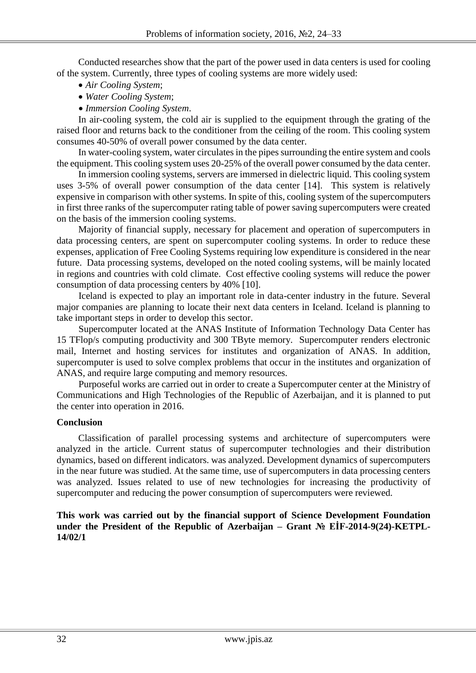Conducted researches show that the part of the power used in data centers is used for cooling of the system. Currently, three types of cooling systems are more widely used:

- *Air Cooling System*;
- *Water Cooling System*;
- *Immersion Cooling System*.

In air-cooling system, the cold air is supplied to the equipment through the grating of the raised floor and returns back to the conditioner from the ceiling of the room. This cooling system consumes 40-50% of overall power consumed by the data center.

In water-cooling system, water circulates in the pipes surrounding the entire system and cools the equipment. This cooling system uses 20-25% of the overall power consumed by the data center.

In immersion cooling systems, servers are immersed in dielectric liquid. This cooling system uses 3-5% of overall power consumption of the data center [14]. This system is relatively expensive in comparison with other systems. In spite of this, cooling system of the supercomputers in first three ranks of the supercomputer rating table of power saving supercomputers were created on the basis of the immersion cooling systems.

Majority of financial supply, necessary for placement and operation of supercomputers in data processing centers, are spent on supercomputer cooling systems. In order to reduce these expenses, application of Free Cooling Systems requiring low expenditure is considered in the near future. Data processing systems, developed on the noted cooling systems, will be mainly located in regions and countries with cold climate. Cost effective cooling systems will reduce the power consumption of data processing centers by 40% [10].

Iceland is expected to play an important role in data-center industry in the future. Several major companies are planning to locate their next data centers in Iceland. Iceland is planning to take important steps in order to develop this sector.

Supercomputer located at the ANAS Institute of Information Technology Data Center has 15 TFlop/s computing productivity and 300 TByte memory. Supercomputer renders electronic mail, Internet and hosting services for institutes and organization of ANAS. In addition, supercomputer is used to solve complex problems that occur in the institutes and organization of ANAS, and require large computing and memory resources.

Purposeful works are carried out in order to create a Supercomputer center at the Ministry of Communications and High Technologies of the Republic of Azerbaijan, and it is planned to put the center into operation in 2016.

## **Conclusion**

Classification of parallel processing systems and architecture of supercomputers were analyzed in the article. Current status of supercomputer technologies and their distribution dynamics, based on different indicators. was analyzed. Development dynamics of supercomputers in the near future was studied. At the same time, use of supercomputers in data processing centers was analyzed. Issues related to use of new technologies for increasing the productivity of supercomputer and reducing the power consumption of supercomputers were reviewed.

### **This work was carried out by the financial support of Science Development Foundation under the President of the Republic of Azerbaijan – Grant № EİF-2014-9(24)-KETPL-14/02/1**